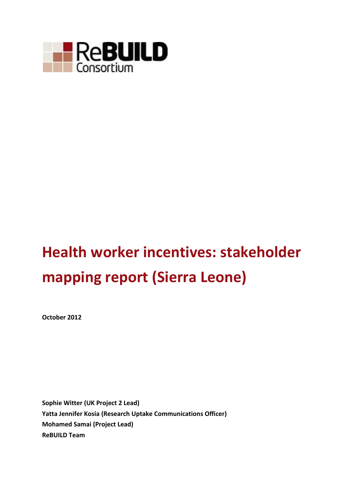

# **Health worker incentives: stakeholder mapping report (Sierra Leone)**

**October 2012**

**Sophie Witter (UK Project 2 Lead) Yatta Jennifer Kosia (Research Uptake Communications Officer) Mohamed Samai (Project Lead) ReBUILD Team**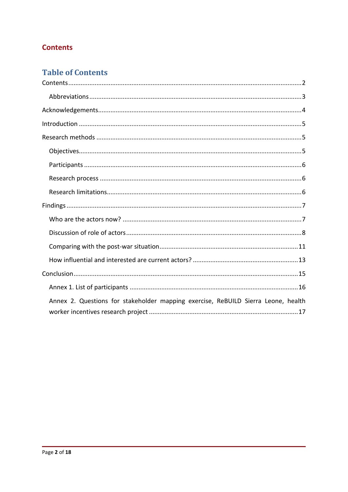## <span id="page-1-0"></span>**Contents**

# **Table of Contents**

| Annex 2. Questions for stakeholder mapping exercise, ReBUILD Sierra Leone, health |
|-----------------------------------------------------------------------------------|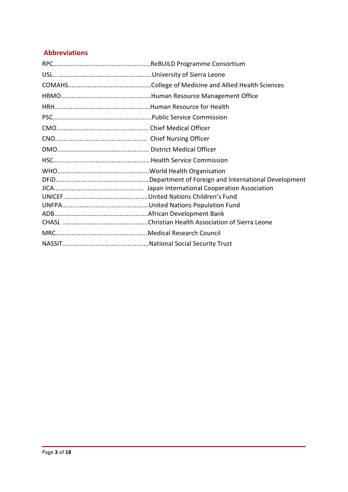### <span id="page-2-0"></span>**Abbreviations**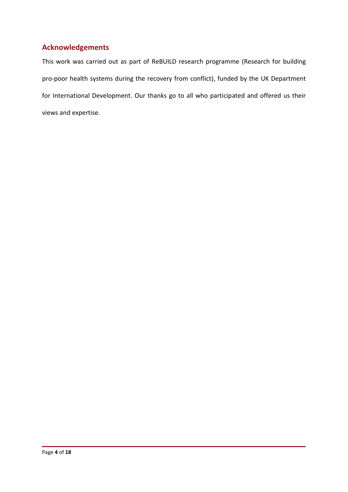## <span id="page-3-0"></span>**Acknowledgements**

This work was carried out as part of ReBUILD research programme (Research for building pro-poor health systems during the recovery from conflict), funded by the UK Department for International Development. Our thanks go to all who participated and offered us their views and expertise.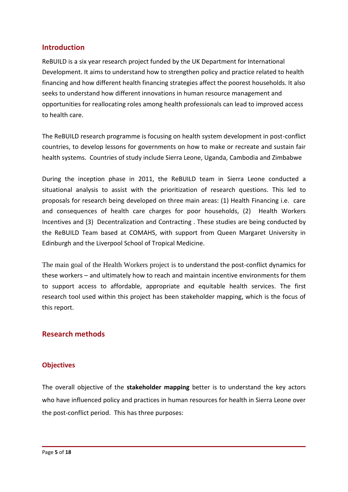#### <span id="page-4-0"></span>**Introduction**

ReBUILD is a six year research project funded by the UK Department for International Development. It aims to understand how to strengthen policy and practice related to health financing and how different health financing strategies affect the poorest households. It also seeks to understand how different innovations in human resource management and opportunities for reallocating roles among health professionals can lead to improved access to health care.

The ReBUILD research programme is focusing on health system development in post-conflict countries, to develop lessons for governments on how to make or recreate and sustain fair health systems. Countries of study include Sierra Leone, Uganda, Cambodia and Zimbabwe

During the inception phase in 2011, the ReBUILD team in Sierra Leone conducted a situational analysis to assist with the prioritization of research questions. This led to proposals for research being developed on three main areas: (1) Health Financing i.e. care and consequences of health care charges for poor households, (2) Health Workers Incentives and (3) Decentralization and Contracting . These studies are being conducted by the ReBUILD Team based at COMAHS, with support from Queen Margaret University in Edinburgh and the Liverpool School of Tropical Medicine.

The main goal of the Health Workers project is to understand the post-conflict dynamics for these workers – and ultimately how to reach and maintain incentive environments for them to support access to affordable, appropriate and equitable health services. The first research tool used within this project has been stakeholder mapping, which is the focus of this report.

#### <span id="page-4-1"></span>**Research methods**

#### <span id="page-4-2"></span>**Objectives**

The overall objective of the **stakeholder mapping** better is to understand the key actors who have influenced policy and practices in human resources for health in Sierra Leone over the post-conflict period. This has three purposes: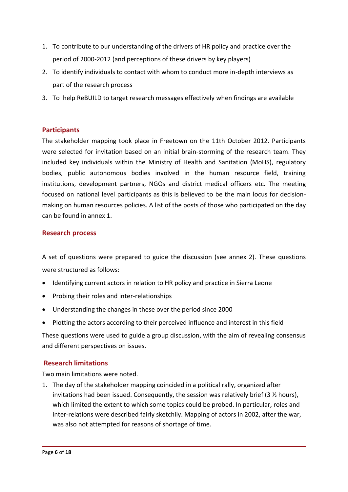- 1. To contribute to our understanding of the drivers of HR policy and practice over the period of 2000-2012 (and perceptions of these drivers by key players)
- 2. To identify individuals to contact with whom to conduct more in-depth interviews as part of the research process
- 3. To help ReBUILD to target research messages effectively when findings are available

#### <span id="page-5-0"></span>**Participants**

The stakeholder mapping took place in Freetown on the 11th October 2012. Participants were selected for invitation based on an initial brain-storming of the research team. They included key individuals within the Ministry of Health and Sanitation (MoHS), regulatory bodies, public autonomous bodies involved in the human resource field, training institutions, development partners, NGOs and district medical officers etc. The meeting focused on national level participants as this is believed to be the main locus for decisionmaking on human resources policies. A list of the posts of those who participated on the day can be found in annex 1.

#### <span id="page-5-1"></span>**Research process**

A set of questions were prepared to guide the discussion (see annex 2). These questions were structured as follows:

- Identifying current actors in relation to HR policy and practice in Sierra Leone
- Probing their roles and inter-relationships
- Understanding the changes in these over the period since 2000
- Plotting the actors according to their perceived influence and interest in this field

These questions were used to guide a group discussion, with the aim of revealing consensus and different perspectives on issues.

#### <span id="page-5-2"></span>**Research limitations**

Two main limitations were noted.

1. The day of the stakeholder mapping coincided in a political rally, organized after invitations had been issued. Consequently, the session was relatively brief (3  $\frac{1}{2}$  hours), which limited the extent to which some topics could be probed. In particular, roles and inter-relations were described fairly sketchily. Mapping of actors in 2002, after the war, was also not attempted for reasons of shortage of time.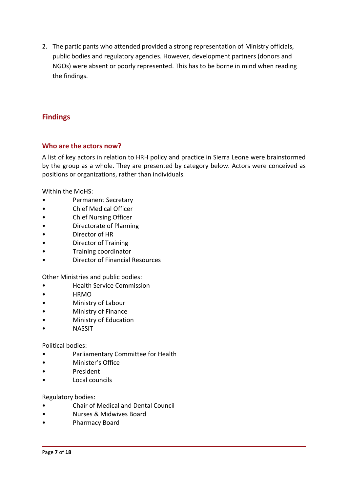2. The participants who attended provided a strong representation of Ministry officials, public bodies and regulatory agencies. However, development partners (donors and NGOs) were absent or poorly represented. This has to be borne in mind when reading the findings.

## <span id="page-6-0"></span>**Findings**

#### <span id="page-6-1"></span>**Who are the actors now?**

A list of key actors in relation to HRH policy and practice in Sierra Leone were brainstormed by the group as a whole. They are presented by category below. Actors were conceived as positions or organizations, rather than individuals.

Within the MoHS:

- Permanent Secretary
- Chief Medical Officer
- Chief Nursing Officer
- Directorate of Planning
- Director of HR
- Director of Training
- Training coordinator
- Director of Financial Resources

Other Ministries and public bodies:

- Health Service Commission
- HRMO
- Ministry of Labour
- Ministry of Finance
- Ministry of Education
- **NASSIT**

#### Political bodies:

- Parliamentary Committee for Health
- Minister's Office
- President
- Local councils

#### Regulatory bodies:

- Chair of Medical and Dental Council
- Nurses & Midwives Board
- Pharmacy Board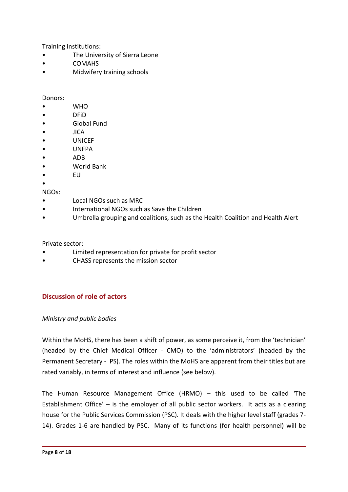Training institutions:

- The University of Sierra Leone
- COMAHS
- Midwifery training schools

#### Donors:

- WHO
- DFiD
- Global Fund
- JICA
- UNICEF
- UNFPA
- ADB
- World Bank
- EU
- •

NGOs:

- Local NGOs such as MRC
- International NGOs such as Save the Children
- Umbrella grouping and coalitions, such as the Health Coalition and Health Alert

#### Private sector:

- Limited representation for private for profit sector
- CHASS represents the mission sector

#### <span id="page-7-0"></span>**Discussion of role of actors**

#### *Ministry and public bodies*

Within the MoHS, there has been a shift of power, as some perceive it, from the 'technician' (headed by the Chief Medical Officer - CMO) to the 'administrators' (headed by the Permanent Secretary - PS). The roles within the MoHS are apparent from their titles but are rated variably, in terms of interest and influence (see below).

The Human Resource Management Office (HRMO) – this used to be called 'The Establishment Office' – is the employer of all public sector workers. It acts as a clearing house for the Public Services Commission (PSC). It deals with the higher level staff (grades 7- 14). Grades 1-6 are handled by PSC. Many of its functions (for health personnel) will be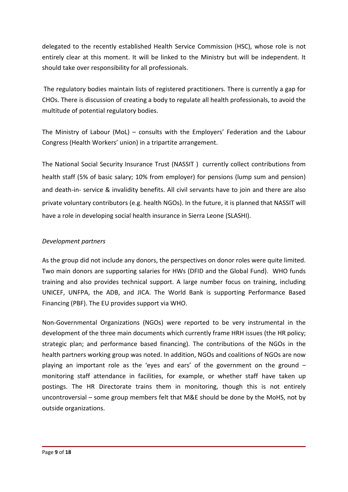delegated to the recently established Health Service Commission (HSC), whose role is not entirely clear at this moment. It will be linked to the Ministry but will be independent. It should take over responsibility for all professionals.

The regulatory bodies maintain lists of registered practitioners. There is currently a gap for CHOs. There is discussion of creating a body to regulate all health professionals, to avoid the multitude of potential regulatory bodies.

The Ministry of Labour (MoL) – consults with the Employers' Federation and the Labour Congress (Health Workers' union) in a tripartite arrangement.

The National Social Security Insurance Trust (NASSIT ) currently collect contributions from health staff (5% of basic salary; 10% from employer) for pensions (lump sum and pension) and death-in- service & invalidity benefits. All civil servants have to join and there are also private voluntary contributors (e.g. health NGOs). In the future, it is planned that NASSIT will have a role in developing social health insurance in Sierra Leone (SLASHI).

#### *Development partners*

As the group did not include any donors, the perspectives on donor roles were quite limited. Two main donors are supporting salaries for HWs (DFID and the Global Fund). WHO funds training and also provides technical support. A large number focus on training, including UNICEF, UNFPA, the ADB, and JICA. The World Bank is supporting Performance Based Financing (PBF). The EU provides support via WHO.

Non-Governmental Organizations (NGOs) were reported to be very instrumental in the development of the three main documents which currently frame HRH issues (the HR policy; strategic plan; and performance based financing). The contributions of the NGOs in the health partners working group was noted. In addition, NGOs and coalitions of NGOs are now playing an important role as the 'eyes and ears' of the government on the ground – monitoring staff attendance in facilities, for example, or whether staff have taken up postings. The HR Directorate trains them in monitoring, though this is not entirely uncontroversial – some group members felt that M&E should be done by the MoHS, not by outside organizations.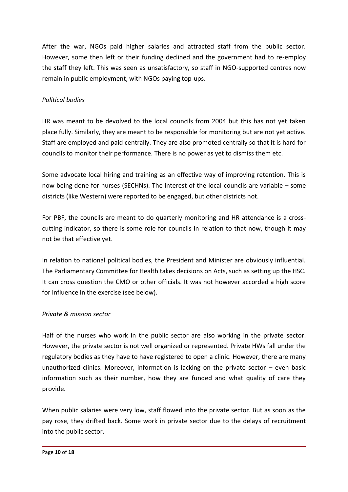After the war, NGOs paid higher salaries and attracted staff from the public sector. However, some then left or their funding declined and the government had to re-employ the staff they left. This was seen as unsatisfactory, so staff in NGO-supported centres now remain in public employment, with NGOs paying top-ups.

#### *Political bodies*

HR was meant to be devolved to the local councils from 2004 but this has not yet taken place fully. Similarly, they are meant to be responsible for monitoring but are not yet active. Staff are employed and paid centrally. They are also promoted centrally so that it is hard for councils to monitor their performance. There is no power as yet to dismiss them etc.

Some advocate local hiring and training as an effective way of improving retention. This is now being done for nurses (SECHNs). The interest of the local councils are variable – some districts (like Western) were reported to be engaged, but other districts not.

For PBF, the councils are meant to do quarterly monitoring and HR attendance is a crosscutting indicator, so there is some role for councils in relation to that now, though it may not be that effective yet.

In relation to national political bodies, the President and Minister are obviously influential. The Parliamentary Committee for Health takes decisions on Acts, such as setting up the HSC. It can cross question the CMO or other officials. It was not however accorded a high score for influence in the exercise (see below).

#### *Private & mission sector*

Half of the nurses who work in the public sector are also working in the private sector. However, the private sector is not well organized or represented. Private HWs fall under the regulatory bodies as they have to have registered to open a clinic. However, there are many unauthorized clinics. Moreover, information is lacking on the private sector – even basic information such as their number, how they are funded and what quality of care they provide.

When public salaries were very low, staff flowed into the private sector. But as soon as the pay rose, they drifted back. Some work in private sector due to the delays of recruitment into the public sector.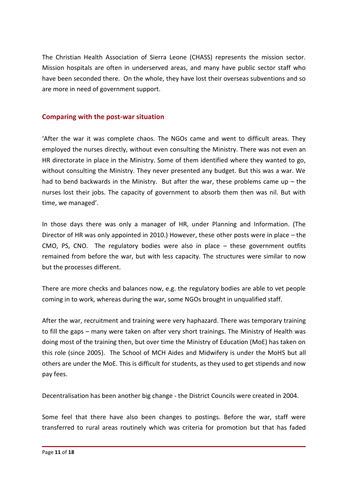The Christian Health Association of Sierra Leone (CHASS) represents the mission sector. Mission hospitals are often in underserved areas, and many have public sector staff who have been seconded there. On the whole, they have lost their overseas subventions and so are more in need of government support.

#### <span id="page-10-0"></span>**Comparing with the post-war situation**

'After the war it was complete chaos. The NGOs came and went to difficult areas. They employed the nurses directly, without even consulting the Ministry. There was not even an HR directorate in place in the Ministry. Some of them identified where they wanted to go, without consulting the Ministry. They never presented any budget. But this was a war. We had to bend backwards in the Ministry. But after the war, these problems came up  $-$  the nurses lost their jobs. The capacity of government to absorb them then was nil. But with time, we managed'.

In those days there was only a manager of HR, under Planning and Information. (The Director of HR was only appointed in 2010.) However, these other posts were in place – the CMO, PS, CNO. The regulatory bodies were also in place – these government outfits remained from before the war, but with less capacity. The structures were similar to now but the processes different.

There are more checks and balances now, e.g. the regulatory bodies are able to vet people coming in to work, whereas during the war, some NGOs brought in unqualified staff.

After the war, recruitment and training were very haphazard. There was temporary training to fill the gaps – many were taken on after very short trainings. The Ministry of Health was doing most of the training then, but over time the Ministry of Education (MoE) has taken on this role (since 2005). The School of MCH Aides and Midwifery is under the MoHS but all others are under the MoE. This is difficult for students, as they used to get stipends and now pay fees.

Decentralisation has been another big change - the District Councils were created in 2004.

Some feel that there have also been changes to postings. Before the war, staff were transferred to rural areas routinely which was criteria for promotion but that has faded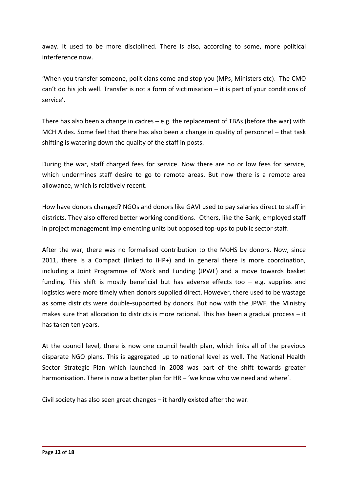away. It used to be more disciplined. There is also, according to some, more political interference now.

'When you transfer someone, politicians come and stop you (MPs, Ministers etc). The CMO can't do his job well. Transfer is not a form of victimisation – it is part of your conditions of service'.

There has also been a change in cadres – e.g. the replacement of TBAs (before the war) with MCH Aides. Some feel that there has also been a change in quality of personnel – that task shifting is watering down the quality of the staff in posts.

During the war, staff charged fees for service. Now there are no or low fees for service, which undermines staff desire to go to remote areas. But now there is a remote area allowance, which is relatively recent.

How have donors changed? NGOs and donors like GAVI used to pay salaries direct to staff in districts. They also offered better working conditions. Others, like the Bank, employed staff in project management implementing units but opposed top-ups to public sector staff.

After the war, there was no formalised contribution to the MoHS by donors. Now, since 2011, there is a Compact (linked to IHP+) and in general there is more coordination, including a Joint Programme of Work and Funding (JPWF) and a move towards basket funding. This shift is mostly beneficial but has adverse effects too – e.g. supplies and logistics were more timely when donors supplied direct. However, there used to be wastage as some districts were double-supported by donors. But now with the JPWF, the Ministry makes sure that allocation to districts is more rational. This has been a gradual process  $-$  it has taken ten years.

At the council level, there is now one council health plan, which links all of the previous disparate NGO plans. This is aggregated up to national level as well. The National Health Sector Strategic Plan which launched in 2008 was part of the shift towards greater harmonisation. There is now a better plan for HR – 'we know who we need and where'.

Civil society has also seen great changes – it hardly existed after the war.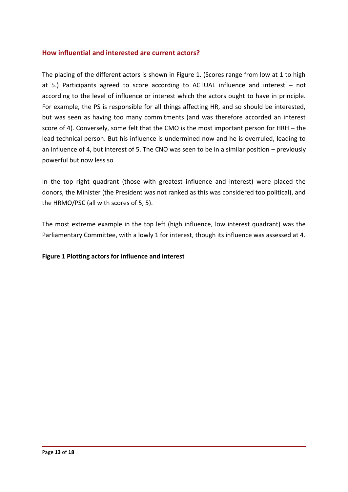#### <span id="page-12-0"></span>**How influential and interested are current actors?**

The placing of the different actors is shown in Figure 1. (Scores range from low at 1 to high at 5.) Participants agreed to score according to ACTUAL influence and interest – not according to the level of influence or interest which the actors ought to have in principle. For example, the PS is responsible for all things affecting HR, and so should be interested, but was seen as having too many commitments (and was therefore accorded an interest score of 4). Conversely, some felt that the CMO is the most important person for HRH – the lead technical person. But his influence is undermined now and he is overruled, leading to an influence of 4, but interest of 5. The CNO was seen to be in a similar position – previously powerful but now less so

In the top right quadrant (those with greatest influence and interest) were placed the donors, the Minister (the President was not ranked as this was considered too political), and the HRMO/PSC (all with scores of 5, 5).

The most extreme example in the top left (high influence, low interest quadrant) was the Parliamentary Committee, with a lowly 1 for interest, though its influence was assessed at 4.

#### **Figure 1 Plotting actors for influence and interest**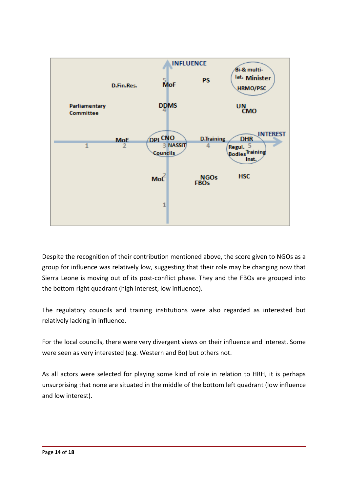

Despite the recognition of their contribution mentioned above, the score given to NGOs as a group for influence was relatively low, suggesting that their role may be changing now that Sierra Leone is moving out of its post-conflict phase. They and the FBOs are grouped into the bottom right quadrant (high interest, low influence).

The regulatory councils and training institutions were also regarded as interested but relatively lacking in influence.

For the local councils, there were very divergent views on their influence and interest. Some were seen as very interested (e.g. Western and Bo) but others not.

As all actors were selected for playing some kind of role in relation to HRH, it is perhaps unsurprising that none are situated in the middle of the bottom left quadrant (low influence and low interest).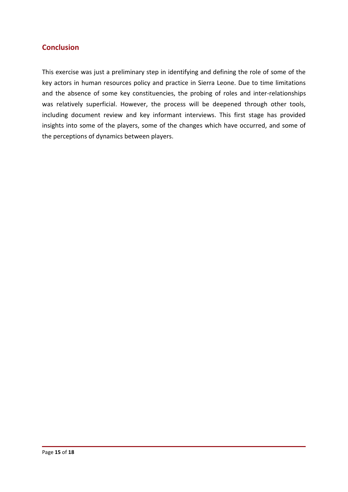## <span id="page-14-0"></span>**Conclusion**

This exercise was just a preliminary step in identifying and defining the role of some of the key actors in human resources policy and practice in Sierra Leone. Due to time limitations and the absence of some key constituencies, the probing of roles and inter-relationships was relatively superficial. However, the process will be deepened through other tools, including document review and key informant interviews. This first stage has provided insights into some of the players, some of the changes which have occurred, and some of the perceptions of dynamics between players.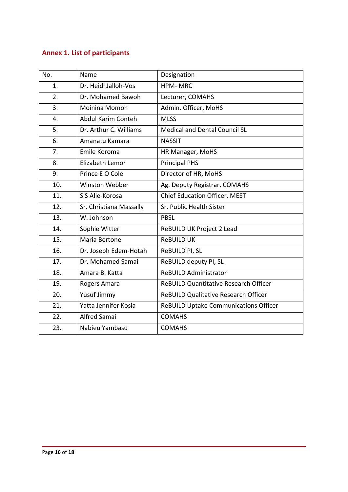# <span id="page-15-0"></span>**Annex 1. List of participants**

| No. | Name                    | Designation                                  |
|-----|-------------------------|----------------------------------------------|
| 1.  | Dr. Heidi Jalloh-Vos    | <b>HPM-MRC</b>                               |
| 2.  | Dr. Mohamed Bawoh       | Lecturer, COMAHS                             |
| 3.  | Moinina Momoh           | Admin. Officer, MoHS                         |
| 4.  | Abdul Karim Conteh      | <b>MLSS</b>                                  |
| 5.  | Dr. Arthur C. Williams  | Medical and Dental Council SL                |
| 6.  | Amanatu Kamara          | <b>NASSIT</b>                                |
| 7.  | Emile Koroma            | HR Manager, MoHS                             |
| 8.  | Elizabeth Lemor         | <b>Principal PHS</b>                         |
| 9.  | Prince E O Cole         | Director of HR, MoHS                         |
| 10. | <b>Winston Webber</b>   | Ag. Deputy Registrar, COMAHS                 |
| 11. | S S Alie-Korosa         | Chief Education Officer, MEST                |
| 12. | Sr. Christiana Massally | Sr. Public Health Sister                     |
| 13. | W. Johnson              | <b>PBSL</b>                                  |
| 14. | Sophie Witter           | ReBUILD UK Project 2 Lead                    |
| 15. | Maria Bertone           | <b>ReBUILD UK</b>                            |
| 16. | Dr. Joseph Edem-Hotah   | ReBUILD PI, SL                               |
| 17. | Dr. Mohamed Samai       | ReBUILD deputy PI, SL                        |
| 18. | Amara B. Katta          | <b>ReBUILD Administrator</b>                 |
| 19. | Rogers Amara            | <b>ReBUILD Quantitative Research Officer</b> |
| 20. | Yusuf Jimmy             | <b>ReBUILD Qualitative Research Officer</b>  |
| 21. | Yatta Jennifer Kosia    | ReBUILD Uptake Communications Officer        |
| 22. | <b>Alfred Samai</b>     | <b>COMAHS</b>                                |
| 23. | Nabieu Yambasu          | <b>COMAHS</b>                                |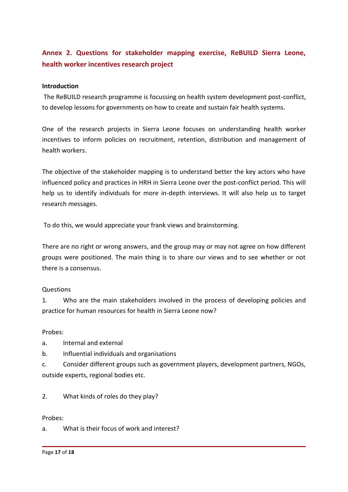## <span id="page-16-0"></span>**Annex 2. Questions for stakeholder mapping exercise, ReBUILD Sierra Leone, health worker incentives research project**

#### **Introduction**

The ReBUILD research programme is focussing on health system development post-conflict, to develop lessons for governments on how to create and sustain fair health systems.

One of the research projects in Sierra Leone focuses on understanding health worker incentives to inform policies on recruitment, retention, distribution and management of health workers.

The objective of the stakeholder mapping is to understand better the key actors who have influenced policy and practices in HRH in Sierra Leone over the post-conflict period. This will help us to identify individuals for more in-depth interviews. It will also help us to target research messages.

To do this, we would appreciate your frank views and brainstorming.

There are no right or wrong answers, and the group may or may not agree on how different groups were positioned. The main thing is to share our views and to see whether or not there is a consensus.

#### Questions

1. Who are the main stakeholders involved in the process of developing policies and practice for human resources for health in Sierra Leone now?

#### Probes:

a. Internal and external

b. Influential individuals and organisations

c. Consider different groups such as government players, development partners, NGOs, outside experts, regional bodies etc.

2. What kinds of roles do they play?

Probes:

a. What is their focus of work and interest?